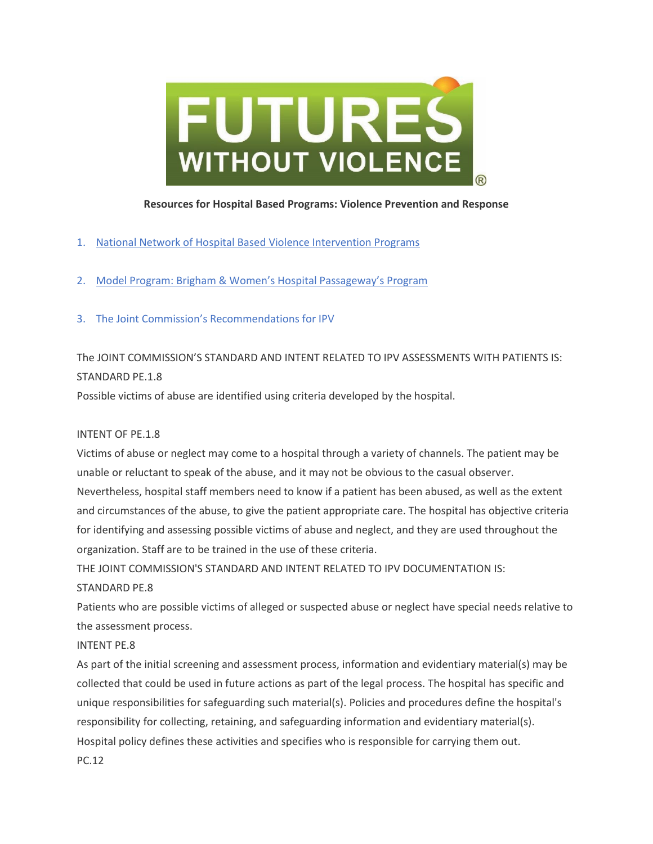

### **Resources for Hospital Based Programs: Violence Prevention and Response**

- 1. [National Network of Hospital Based Violence Intervention Programs](http://nnhvip.org/)
- 2. [Model Program: Brigham & Women](http://www.brighamandwomens.org/about_bwh/communityprograms/our-programs/violence/passageway.aspx)'s Hospital Passageway's Program
- 3. The Joint Commission's [Recommendations](https://www.jointcommission.org/) for IPV

# The JOINT COMMISSION'S STANDARD AND INTENT RELATED TO IPV ASSESSMENTS WITH PATIENTS IS: STANDARD PE.1.8

Possible victims of abuse are identified using criteria developed by the hospital.

## INTENT OF PE.1.8

Victims of abuse or neglect may come to a hospital through a variety of channels. The patient may be unable or reluctant to speak of the abuse, and it may not be obvious to the casual observer. Nevertheless, hospital staff members need to know if a patient has been abused, as well as the extent and circumstances of the abuse, to give the patient appropriate care. The hospital has objective criteria for identifying and assessing possible victims of abuse and neglect, and they are used throughout the organization. Staff are to be trained in the use of these criteria.

THE JOINT COMMISSION'S STANDARD AND INTENT RELATED TO IPV DOCUMENTATION IS:

## STANDARD PE.8

Patients who are possible victims of alleged or suspected abuse or neglect have special needs relative to the assessment process.

## INTENT PE.8

As part of the initial screening and assessment process, information and evidentiary material(s) may be collected that could be used in future actions as part of the legal process. The hospital has specific and unique responsibilities for safeguarding such material(s). Policies and procedures define the hospital's responsibility for collecting, retaining, and safeguarding information and evidentiary material(s). Hospital policy defines these activities and specifies who is responsible for carrying them out. PC.12